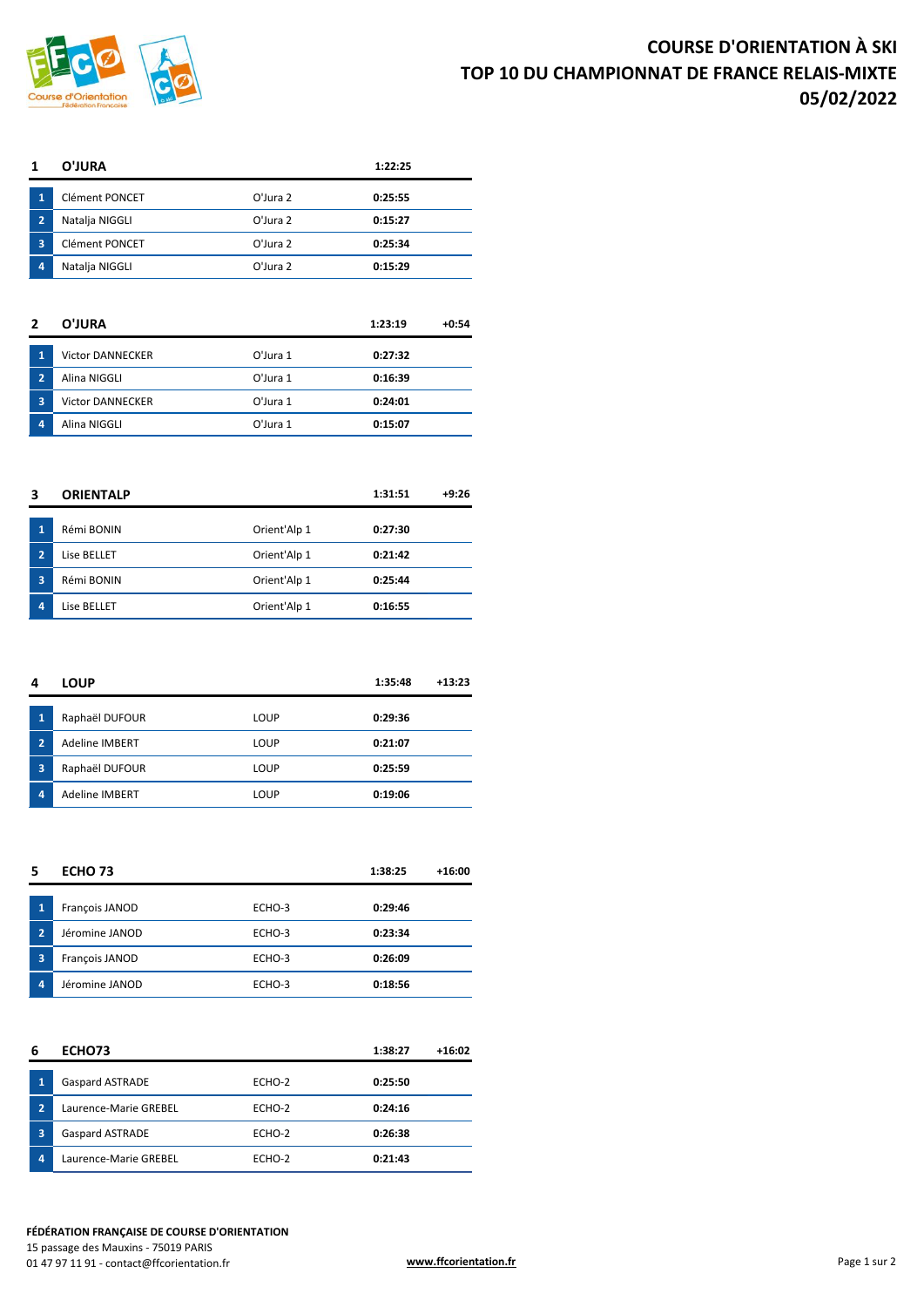

|   | O'JURA                |             | 1:22:25 |
|---|-----------------------|-------------|---------|
| 1 | <b>Clément PONCET</b> | $O'$ Jura 2 | 0:25:55 |
| 2 | Natalja NIGGLI        | $O'$ Jura 2 | 0:15:27 |
| 3 | <b>Clément PONCET</b> | $O'$ Jura 2 | 0:25:34 |
| 4 | Natalja NIGGLI        | O'Jura 2    | 0:15:29 |

| 2              | O'JURA                  |             | 1:23:19 | $+0:54$ |
|----------------|-------------------------|-------------|---------|---------|
| 1              | <b>Victor DANNECKER</b> | $O'$ Jura 1 | 0:27:32 |         |
| $\overline{2}$ | Alina NIGGLI            | O'Jura 1    | 0:16:39 |         |
| 3              | <b>Victor DANNECKER</b> | $O'$ Jura 1 | 0:24:01 |         |
| 4              | Alina NIGGLI            | O'Jura 1    | 0:15:07 |         |

| 3              | <b>ORIENTALP</b> |              | 1:31:51 | $+9:26$ |
|----------------|------------------|--------------|---------|---------|
| 1              | Rémi BONIN       | Orient'Alp 1 | 0:27:30 |         |
| $\overline{2}$ | Lise BELLET      | Orient'Alp 1 | 0:21:42 |         |
| 3              | Rémi BONIN       | Orient'Alp 1 | 0:25:44 |         |
| 4              | Lise BELLET      | Orient'Alp 1 | 0:16:55 |         |

| 4              | <b>LOUP</b>           |      | 1:35:48 | $+13:23$ |
|----------------|-----------------------|------|---------|----------|
| 1              | Raphaël DUFOUR        | LOUP | 0:29:36 |          |
| $\overline{2}$ | <b>Adeline IMBERT</b> | LOUP | 0:21:07 |          |
| 3              | Raphaël DUFOUR        | LOUP | 0:25:59 |          |
| 4              | <b>Adeline IMBERT</b> | LOUP | 0:19:06 |          |

| 5 |                | ECHO <sub>73</sub> |        | 1:38:25 | $+16:00$ |
|---|----------------|--------------------|--------|---------|----------|
|   | 1              | François JANOD     | ECHO-3 | 0:29:46 |          |
|   | $\overline{2}$ | Jéromine JANOD     | ECHO-3 | 0:23:34 |          |
|   | 3              | François JANOD     | ECHO-3 | 0:26:09 |          |
|   | 4              | Jéromine JANOD     | ECHO-3 | 0:18:56 |          |

| 6 | ECHO73                 |        | 1:38:27 | +16:02 |
|---|------------------------|--------|---------|--------|
| 1 | <b>Gaspard ASTRADE</b> | ECHO-2 | 0:25:50 |        |
| 2 | Laurence-Marie GREBEL  | ECHO-2 | 0:24:16 |        |
| 3 | Gaspard ASTRADE        | ECHO-2 | 0:26:38 |        |
| 4 | Laurence-Marie GREBEL  | ECHO-2 | 0:21:43 |        |